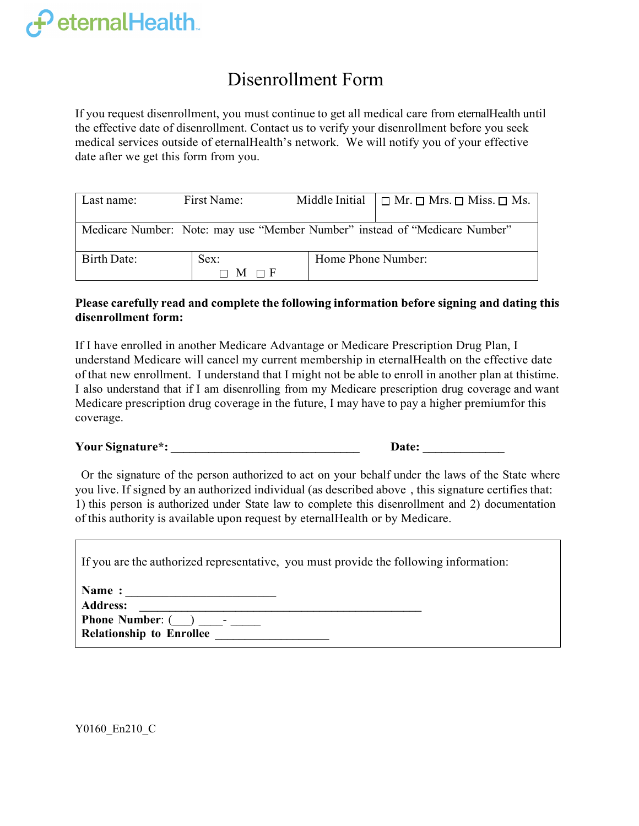## $\boldsymbol{\varphi}$  eternalHealth.

## Disenrollment Form

 If you request disenrollment, you must continue to get all medical care from eternalHealth until the effective date of disenrollment. Contact us to verify your disenrollment before you seek date after we get this form from you. medical services outside of eternalHealth's network. We will notify you of your effective

| Last name:                                                                  | First Name:   |                    | Middle Initial $\Box$ Mr. $\Box$ Mrs. $\Box$ Miss. $\Box$ Ms. |  |  |  |
|-----------------------------------------------------------------------------|---------------|--------------------|---------------------------------------------------------------|--|--|--|
| Medicare Number: Note: may use "Member Number" instead of "Medicare Number" |               |                    |                                                               |  |  |  |
| Birth Date:                                                                 | Sex:          | Home Phone Number: |                                                               |  |  |  |
|                                                                             | — F<br>M<br>⊓ |                    |                                                               |  |  |  |

## **Please carefully read and complete the following information before signing and dating this disenrollment form:**

 understand Medicare will cancel my current membership in eternalHealth on the effective date of that new enrollment. I understand that I might not be able to enroll in another plan at thistime. I also understand that if I am disenrolling from my Medicare prescription drug coverage and want Medicare prescription drug coverage in the future, I may have to pay a higher premiumfor this If I have enrolled in another Medicare Advantage or Medicare Prescription Drug Plan, I coverage.

 **Your Signature\*: \_\_\_\_\_\_\_\_\_\_\_\_\_\_\_\_\_\_\_\_\_\_\_\_\_\_\_\_\_\_ Date: \_\_\_\_\_\_\_\_\_\_\_\_\_** 

Or the signature of the person authorized to act on your behalf under the laws of the State where ) you live. If signed by an authorized individual (as described above , this signature certifies that: 1) this person is authorized under State law to complete this disenrollment and 2) documentation of this authority is available upon request by eternalHealth or by Medicare.

| If you are the authorized representative, you must provide the following information: |  |
|---------------------------------------------------------------------------------------|--|
|---------------------------------------------------------------------------------------|--|

| Name: |  |
|-------|--|
|       |  |

| <b>Address:</b>                 |  |
|---------------------------------|--|
| <b>Phone Number: ()</b>         |  |
| <b>Relationship to Enrollee</b> |  |

Y0160\_En210\_C